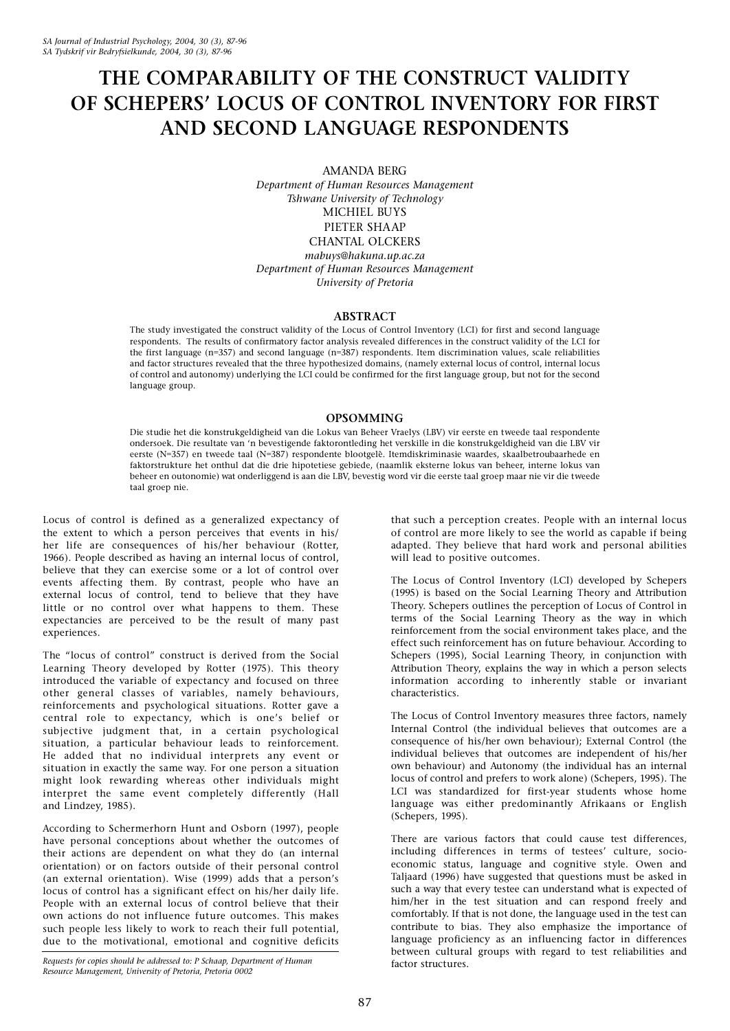# THE COMPARABILITY OF THE CONSTRUCT VALIDITY OF SCHEPERS' LOCUS OF CONTROL INVENTORY FOR FIRST AND SECOND LANGUAGE RESPONDENTS

AMANDA BERG

Department of Human Resources Management Tshwane University of Technology MICHIEL BUYS PIETER SHAAP CHANTAL OLCKERS mabuys@hakuna.up.ac.za Department of Human Resources Management University of Pretoria

# ABSTRACT

The study investigated the construct validity of the Locus of Control Inventory (LCI) for first and second language respondents. The results of confirmatory factor analysis revealed differences in the construct validity of the LCI for the first language (n=357) and second language (n=387) respondents. Item discrimination values, scale reliabilities and factor structures revealed that the three hypothesized domains, (namely external locus of control, internal locus of control and autonomy) underlying the LCI could be confirmed for the first language group, but not for the second language group.

# OPSOMMING

Die studie het die konstrukgeldigheid van die Lokus van Beheer Vraelys (LBV) vir eerste en tweede taal respondente ondersoek. Die resultate van 'n bevestigende faktorontleding het verskille in die konstrukgeldigheid van die LBV vir eerste (N=357) en tweede taal (N=387) respondente blootgelê. Itemdiskriminasie waardes, skaalbetroubaarhede en faktorstrukture het onthul dat die drie hipotetiese gebiede, (naamlik eksterne lokus van beheer, interne lokus van beheer en outonomie) wat onderliggend is aan die LBV, bevestig word vir die eerste taal groep maar nie vir die tweede taal groep nie.

Locus of control is defined as a generalized expectancy of the extent to which a person perceives that events in his/ her life are consequences of his/her behaviour (Rotter, 1966). People described as having an internal locus of control, believe that they can exercise some or a lot of control over events affecting them. By contrast, people who have an external locus of control, tend to believe that they have little or no control over what happens to them. These expectancies are perceived to be the result of many past experiences.

The "locus of control" construct is derived from the Social Learning Theory developed by Rotter (1975). This theory introduced the variable of expectancy and focused on three other general classes of variables, namely behaviours, reinforcements and psychological situations. Rotter gave a central role to expectancy, which is one's belief or subjective judgment that, in a certain psychological situation, a particular behaviour leads to reinforcement. He added that no individual interprets any event or situation in exactly the same way. For one person a situation might look rewarding whereas other individuals might interpret the same event completely differently (Hall and Lindzey, 1985).

According to Schermerhorn Hunt and Osborn (1997), people have personal conceptions about whether the outcomes of their actions are dependent on what they do (an internal orientation) or on factors outside of their personal control (an external orientation). Wise (1999) adds that a person's locus of control has a significant effect on his/her daily life. People with an external locus of control believe that their own actions do not influence future outcomes. This makes such people less likely to work to reach their full potential, due to the motivational, emotional and cognitive deficits

Requests for copies should be addressed to: P Schaap, Department of Human Resource Management, University of Pretoria, Pretoria 0002

that such a perception creates. People with an internal locus of control are more likely to see the world as capable if being adapted. They believe that hard work and personal abilities will lead to positive outcomes.

The Locus of Control Inventory (LCI) developed by Schepers (1995) is based on the Social Learning Theory and Attribution Theory. Schepers outlines the perception of Locus of Control in terms of the Social Learning Theory as the way in which reinforcement from the social environment takes place, and the effect such reinforcement has on future behaviour. According to Schepers (1995), Social Learning Theory, in conjunction with Attribution Theory, explains the way in which a person selects information according to inherently stable or invariant characteristics.

The Locus of Control Inventory measures three factors, namely Internal Control (the individual believes that outcomes are a consequence of his/her own behaviour); External Control (the individual believes that outcomes are independent of his/her own behaviour) and Autonomy (the individual has an internal locus of control and prefers to work alone) (Schepers, 1995). The LCI was standardized for first-year students whose home language was either predominantly Afrikaans or English (Schepers, 1995).

There are various factors that could cause test differences, including differences in terms of testees' culture, socioeconomic status, language and cognitive style. Owen and Taljaard (1996) have suggested that questions must be asked in such a way that every testee can understand what is expected of him/her in the test situation and can respond freely and comfortably. If that is not done, the language used in the test can contribute to bias. They also emphasize the importance of language proficiency as an influencing factor in differences between cultural groups with regard to test reliabilities and factor structures.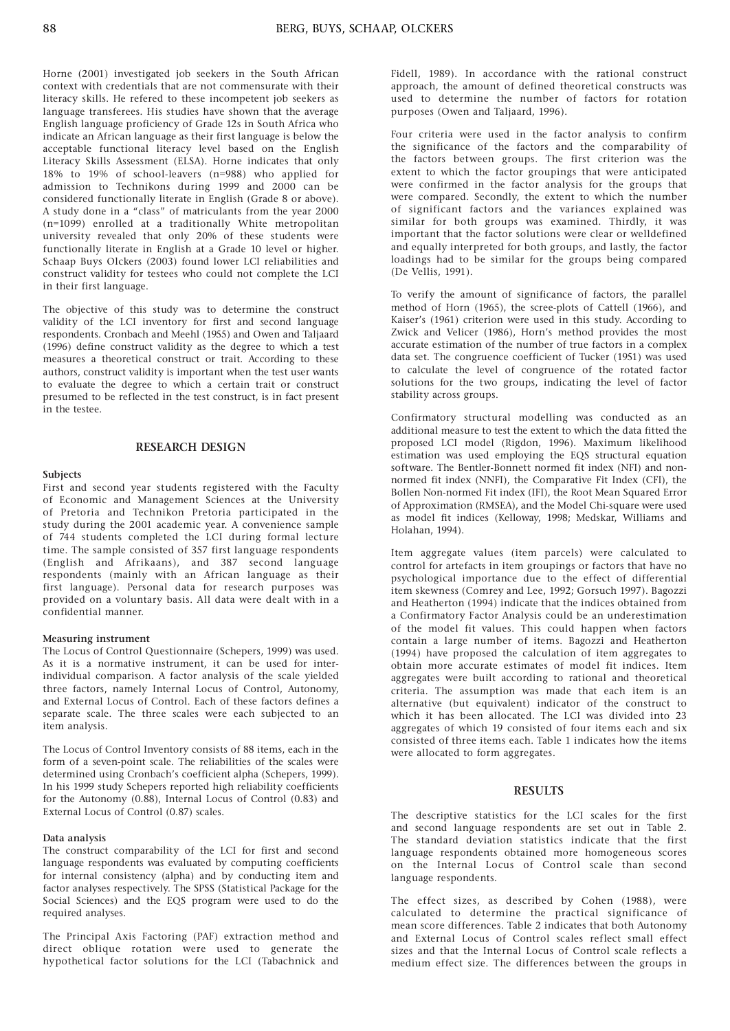Horne (2001) investigated job seekers in the South African context with credentials that are not commensurate with their literacy skills. He refered to these incompetent job seekers as language transferees. His studies have shown that the average English language proficiency of Grade 12s in South Africa who indicate an African language as their first language is below the acceptable functional literacy level based on the English Literacy Skills Assessment (ELSA). Horne indicates that only 18% to 19% of school-leavers (n=988) who applied for admission to Technikons during 1999 and 2000 can be considered functionally literate in English (Grade 8 or above). A study done in a "class" of matriculants from the year 2000 (n=1099) enrolled at a traditionally White metropolitan university revealed that only 20% of these students were functionally literate in English at a Grade 10 level or higher. Schaap Buys Olckers (2003) found lower LCI reliabilities and construct validity for testees who could not complete the LCI in their first language.

The objective of this study was to determine the construct validity of the LCI inventory for first and second language respondents. Cronbach and Meehl (1955) and Owen and Taljaard (1996) define construct validity as the degree to which a test measures a theoretical construct or trait. According to these authors, construct validity is important when the test user wants to evaluate the degree to which a certain trait or construct presumed to be reflected in the test construct, is in fact present in the testee.

## RESEARCH DESIGN

### **Subjects**

First and second year students registered with the Faculty of Economic and Management Sciences at the University of Pretoria and Technikon Pretoria participated in the study during the 2001 academic year. A convenience sample of 744 students completed the LCI during formal lecture time. The sample consisted of 357 first language respondents (English and Afrikaans), and 387 second language respondents (mainly with an African language as their first language). Personal data for research purposes was provided on a voluntary basis. All data were dealt with in a confidential manner.

#### Measuring instrument

The Locus of Control Questionnaire (Schepers, 1999) was used. As it is a normative instrument, it can be used for interindividual comparison. A factor analysis of the scale yielded three factors, namely Internal Locus of Control, Autonomy, and External Locus of Control. Each of these factors defines a separate scale. The three scales were each subjected to an item analysis.

The Locus of Control Inventory consists of 88 items, each in the form of a seven-point scale. The reliabilities of the scales were determined using Cronbach's coefficient alpha (Schepers, 1999). In his 1999 study Schepers reported high reliability coefficients for the Autonomy (0.88), Internal Locus of Control (0.83) and External Locus of Control (0.87) scales.

# Data analysis

The construct comparability of the LCI for first and second language respondents was evaluated by computing coefficients for internal consistency (alpha) and by conducting item and factor analyses respectively. The SPSS (Statistical Package for the Social Sciences) and the EQS program were used to do the required analyses.

The Principal Axis Factoring (PAF) extraction method and direct oblique rotation were used to generate the hypothetical factor solutions for the LCI (Tabachnick and Fidell, 1989). In accordance with the rational construct approach, the amount of defined theoretical constructs was used to determine the number of factors for rotation purposes (Owen and Taljaard, 1996).

Four criteria were used in the factor analysis to confirm the significance of the factors and the comparability of the factors between groups. The first criterion was the extent to which the factor groupings that were anticipated were confirmed in the factor analysis for the groups that were compared. Secondly, the extent to which the number of significant factors and the variances explained was similar for both groups was examined. Thirdly, it was important that the factor solutions were clear or welldefined and equally interpreted for both groups, and lastly, the factor loadings had to be similar for the groups being compared (De Vellis, 1991).

To verify the amount of significance of factors, the parallel method of Horn (1965), the scree-plots of Cattell (1966), and Kaiser's (1961) criterion were used in this study. According to Zwick and Velicer (1986), Horn's method provides the most accurate estimation of the number of true factors in a complex data set. The congruence coefficient of Tucker (1951) was used to calculate the level of congruence of the rotated factor solutions for the two groups, indicating the level of factor stability across groups.

Confirmatory structural modelling was conducted as an additional measure to test the extent to which the data fitted the proposed LCI model (Rigdon, 1996). Maximum likelihood estimation was used employing the EQS structural equation software. The Bentler-Bonnett normed fit index (NFI) and nonnormed fit index (NNFI), the Comparative Fit Index (CFI), the Bollen Non-normed Fit index (IFI), the Root Mean Squared Error of Approximation (RMSEA), and the Model Chi-square were used as model fit indices (Kelloway, 1998; Medskar, Williams and Holahan, 1994).

Item aggregate values (item parcels) were calculated to control for artefacts in item groupings or factors that have no psychological importance due to the effect of differential item skewness (Comrey and Lee, 1992; Gorsuch 1997). Bagozzi and Heatherton (1994) indicate that the indices obtained from a Confirmatory Factor Analysis could be an underestimation of the model fit values. This could happen when factors contain a large number of items. Bagozzi and Heatherton (1994) have proposed the calculation of item aggregates to obtain more accurate estimates of model fit indices. Item aggregates were built according to rational and theoretical criteria. The assumption was made that each item is an alternative (but equivalent) indicator of the construct to which it has been allocated. The LCI was divided into 23 aggregates of which 19 consisted of four items each and six consisted of three items each. Table 1 indicates how the items were allocated to form aggregates.

### **RESULTS**

The descriptive statistics for the LCI scales for the first and second language respondents are set out in Table 2. The standard deviation statistics indicate that the first language respondents obtained more homogeneous scores on the Internal Locus of Control scale than second language respondents.

The effect sizes, as described by Cohen (1988), were calculated to determine the practical significance of mean score differences. Table 2 indicates that both Autonomy and External Locus of Control scales reflect small effect sizes and that the Internal Locus of Control scale reflects a medium effect size. The differences between the groups in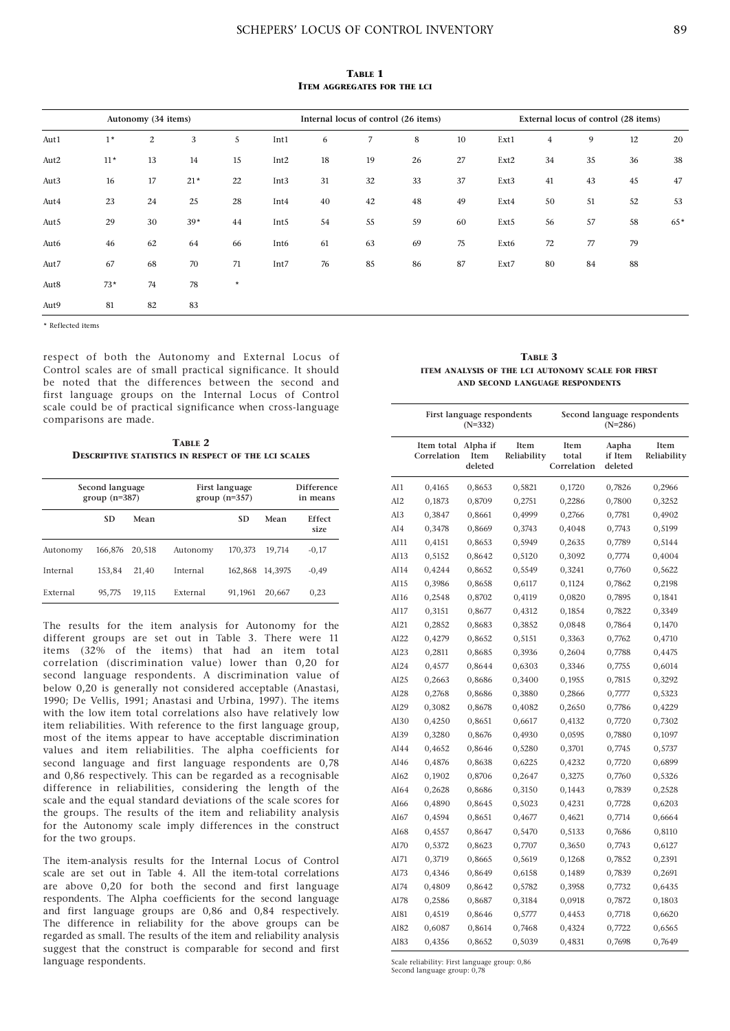TABLE 1 ITEM AGGREGATES FOR THE LCI

|      |       | Autonomy (34 items) |       |         |                  |    | Internal locus of control (26 items) |    |    |      |                |    | External locus of control (28 items) |     |
|------|-------|---------------------|-------|---------|------------------|----|--------------------------------------|----|----|------|----------------|----|--------------------------------------|-----|
| Aut1 | $1*$  | 2                   | 3     | 5       | Int1             | 6  | $\overline{7}$                       | 8  | 10 | Ext1 | $\overline{4}$ | 9  | 12                                   | 20  |
| Aut2 | $11*$ | 13                  | 14    | 15      | Int <sub>2</sub> | 18 | 19                                   | 26 | 27 | Ext2 | 34             | 35 | 36                                   | 38  |
| Aut3 | 16    | 17                  | $21*$ | 22      | Int <sub>3</sub> | 31 | 32                                   | 33 | 37 | Ext3 | 41             | 43 | 45                                   | 47  |
| Aut4 | 23    | 24                  | 25    | 28      | Int <sub>4</sub> | 40 | 42                                   | 48 | 49 | Ext4 | 50             | 51 | 52                                   | 53  |
| Aut5 | 29    | 30                  | $39*$ | 44      | Int <sub>5</sub> | 54 | 55                                   | 59 | 60 | Ext5 | 56             | 57 | 58                                   | 65* |
| Aut6 | 46    | 62                  | 64    | 66      | Int6             | 61 | 63                                   | 69 | 75 | Ext6 | 72             | 77 | 79                                   |     |
| Aut7 | 67    | 68                  | 70    | 71      | Int7             | 76 | 85                                   | 86 | 87 | Ext7 | 80             | 84 | 88                                   |     |
| Aut8 | $73*$ | 74                  | 78    | $\star$ |                  |    |                                      |    |    |      |                |    |                                      |     |
| Aut9 | 81    | 82                  | 83    |         |                  |    |                                      |    |    |      |                |    |                                      |     |

\* Reflected items

respect of both the Autonomy and External Locus of Control scales are of small practical significance. It should be noted that the differences between the second and first language groups on the Internal Locus of Control scale could be of practical significance when cross-language comparisons are made.

TABLE 2 DESCRIPTIVE STATISTICS IN RESPECT OF THE LCI SCALES

| Second language<br>$group(n=387)$ |           |        | First language<br>group $(n=357)$ |           |         | <b>Difference</b><br>in means |  |
|-----------------------------------|-----------|--------|-----------------------------------|-----------|---------|-------------------------------|--|
|                                   | <b>SD</b> | Mean   |                                   | <b>SD</b> | Mean    | Effect<br>size                |  |
| Autonomy                          | 166.876   | 20.518 | Autonomy                          | 170,373   | 19.714  | $-0,17$                       |  |
| Internal                          | 153.84    | 21.40  | Internal                          | 162,868   | 14.3975 | $-0.49$                       |  |
| External                          | 95,775    | 19,115 | External                          | 91.1961   | 20,667  | 0,23                          |  |

The results for the item analysis for Autonomy for the different groups are set out in Table 3. There were 11 items (32% of the items) that had an item total correlation (discrimination value) lower than 0,20 for second language respondents. A discrimination value of below 0,20 is generally not considered acceptable (Anastasi, 1990; De Vellis, 1991; Anastasi and Urbina, 1997). The items with the low item total correlations also have relatively low item reliabilities. With reference to the first language group, most of the items appear to have acceptable discrimination values and item reliabilities. The alpha coefficients for second language and first language respondents are 0,78 and 0,86 respectively. This can be regarded as a recognisable difference in reliabilities, considering the length of the scale and the equal standard deviations of the scale scores for the groups. The results of the item and reliability analysis for the Autonomy scale imply differences in the construct for the two groups.

The item-analysis results for the Internal Locus of Control scale are set out in Table 4. All the item-total correlations are above 0,20 for both the second and first language respondents. The Alpha coefficients for the second language and first language groups are 0,86 and 0,84 respectively. The difference in reliability for the above groups can be regarded as small. The results of the item and reliability analysis suggest that the construct is comparable for second and first language respondents.

TABLE 3 ITEM ANALYSIS OF THE LCI AUTONOMY SCALE FOR FIRST AND SECOND LANGUAGE RESPONDENTS

|                 |                           | First language respondents<br>$(N=332)$ |                     |                              | Second language respondents<br>$(N=286)$ |                     |  |  |
|-----------------|---------------------------|-----------------------------------------|---------------------|------------------------------|------------------------------------------|---------------------|--|--|
|                 | Item total<br>Correlation | Alpha if<br>Item<br>deleted             | Item<br>Reliability | Item<br>total<br>Correlation | Aapha<br>if Item<br>deleted              | Item<br>Reliability |  |  |
| AI1             | 0,4165                    | 0,8653                                  | 0,5821              | 0,1720                       | 0,7826                                   | 0,2966              |  |  |
| AI <sub>2</sub> | 0,1873                    | 0,8709                                  | 0,2751              | 0,2286                       | 0,7800                                   | 0,3252              |  |  |
| AI3             | 0,3847                    | 0,8661                                  | 0,4999              | 0,2766                       | 0,7781                                   | 0,4902              |  |  |
| AI4             | 0,3478                    | 0,8669                                  | 0,3743              | 0,4048                       | 0,7743                                   | 0,5199              |  |  |
| AI 11           | 0,4151                    | 0,8653                                  | 0,5949              | 0,2635                       | 0,7789                                   | 0,5144              |  |  |
| AI13            | 0,5152                    | 0,8642                                  | 0,5120              | 0,3092                       | 0,7774                                   | 0,4004              |  |  |
| AI14            | 0,4244                    | 0,8652                                  | 0,5549              | 0,3241                       | 0,7760                                   | 0,5622              |  |  |
| AI15            | 0,3986                    | 0,8658                                  | 0,6117              | 0,1124                       | 0,7862                                   | 0,2198              |  |  |
| AI16            | 0,2548                    | 0,8702                                  | 0,4119              | 0,0820                       | 0,7895                                   | 0,1841              |  |  |
| AI17            | 0,3151                    | 0,8677                                  | 0,4312              | 0,1854                       | 0,7822                                   | 0,3349              |  |  |
| AI21            | 0,2852                    | 0,8683                                  | 0,3852              | 0,0848                       | 0,7864                                   | 0,1470              |  |  |
| AI22            | 0,4279                    | 0,8652                                  | 0,5151              | 0,3363                       | 0,7762                                   | 0,4710              |  |  |
| AI23            | 0,2811                    | 0,8685                                  | 0,3936              | 0,2604                       | 0,7788                                   | 0,4475              |  |  |
| AI24            | 0,4577                    | 0,8644                                  | 0,6303              | 0,3346                       | 0,7755                                   | 0,6014              |  |  |
| AI25            | 0,2663                    | 0,8686                                  | 0,3400              | 0,1955                       | 0,7815                                   | 0,3292              |  |  |
| AI28            | 0,2768                    | 0,8686                                  | 0,3880              | 0,2866                       | 0,7777                                   | 0,5323              |  |  |
| AI29            | 0,3082                    | 0,8678                                  | 0,4082              | 0,2650                       | 0,7786                                   | 0,4229              |  |  |
| AI30            | 0,4250                    | 0,8651                                  | 0,6617              | 0,4132                       | 0,7720                                   | 0,7302              |  |  |
| AI39            | 0,3280                    | 0,8676                                  | 0,4930              | 0,0595                       | 0,7880                                   | 0,1097              |  |  |
| AI44            | 0,4652                    | 0,8646                                  | 0,5280              | 0,3701                       | 0,7745                                   | 0,5737              |  |  |
| AI46            | 0,4876                    | 0,8638                                  | 0,6225              | 0,4232                       | 0,7720                                   | 0,6899              |  |  |
| AI62            | 0,1902                    | 0,8706                                  | 0,2647              | 0,3275                       | 0,7760                                   | 0,5326              |  |  |
| AI64            | 0,2628                    | 0,8686                                  | 0,3150              | 0,1443                       | 0,7839                                   | 0,2528              |  |  |
| AI66            | 0,4890                    | 0,8645                                  | 0,5023              | 0,4231                       | 0,7728                                   | 0,6203              |  |  |
| AI67            | 0,4594                    | 0,8651                                  | 0,4677              | 0,4621                       | 0,7714                                   | 0,6664              |  |  |
| AI68            | 0,4557                    | 0,8647                                  | 0,5470              | 0,5133                       | 0,7686                                   | 0,8110              |  |  |
| AI70            | 0,5372                    | 0,8623                                  | 0,7707              | 0,3650                       | 0,7743                                   | 0,6127              |  |  |
| AI71            | 0,3719                    | 0,8665                                  | 0,5619              | 0,1268                       | 0,7852                                   | 0,2391              |  |  |
| AI73            | 0,4346                    | 0,8649                                  | 0,6158              | 0,1489                       | 0,7839                                   | 0,2691              |  |  |
| AI74            | 0,4809                    | 0,8642                                  | 0,5782              | 0,3958                       | 0,7732                                   | 0,6435              |  |  |
| AI78            | 0,2586                    | 0,8687                                  | 0,3184              | 0,0918                       | 0,7872                                   | 0,1803              |  |  |
| AI81            | 0,4519                    | 0,8646                                  | 0,5777              | 0,4453                       | 0,7718                                   | 0,6620              |  |  |
| AI82            | 0,6087                    | 0,8614                                  | 0,7468              | 0,4324                       | 0,7722                                   | 0,6565              |  |  |
| AI83            | 0,4356                    | 0,8652                                  | 0,5039              | 0,4831                       | 0,7698                                   | 0,7649              |  |  |

Scale reliability: First language group: 0,86 Second language group: 0,78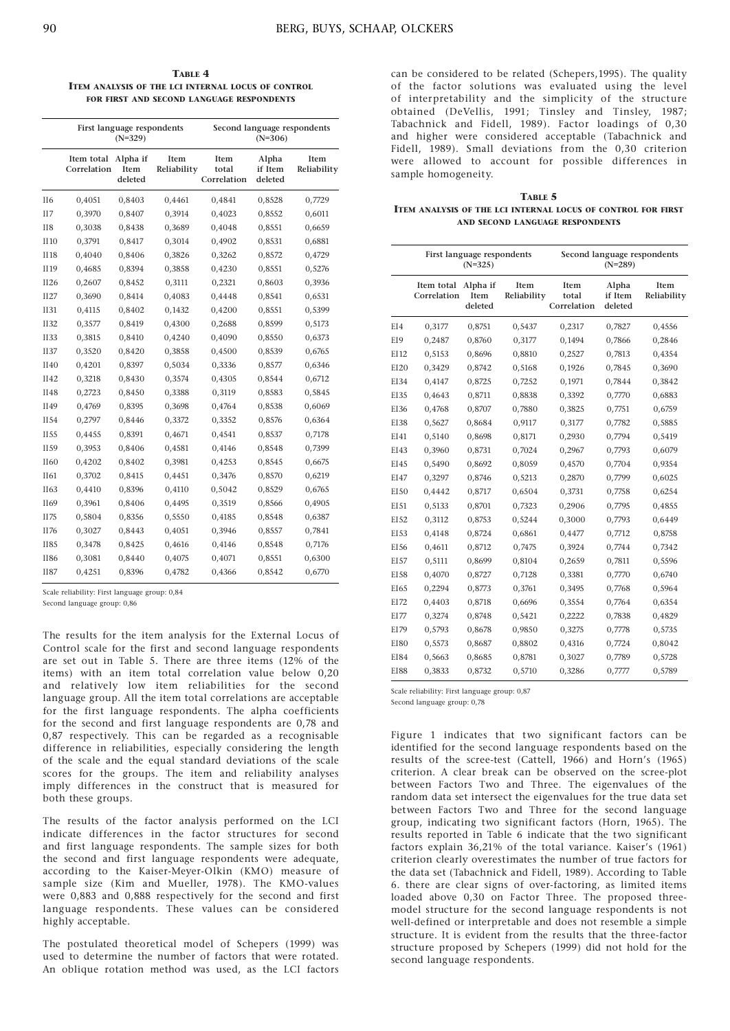TABLE 4 ITEM ANALYSIS OF THE LCI INTERNAL LOCUS OF CONTROL FOR FIRST AND SECOND LANGUAGE RESPONDENTS

|                 | First language respondents<br>$(N=329)$ |                             |                     |                              | Second language respondents<br>$(N=306)$ |                     |  |  |
|-----------------|-----------------------------------------|-----------------------------|---------------------|------------------------------|------------------------------------------|---------------------|--|--|
|                 | Item total<br>Correlation               | Alpha if<br>Item<br>deleted | Item<br>Reliability | Item<br>total<br>Correlation | Alpha<br>if Item<br>deleted              | Item<br>Reliability |  |  |
| II6             | 0,4051                                  | 0,8403                      | 0,4461              | 0,4841                       | 0,8528                                   | 0,7729              |  |  |
| II7             | 0,3970                                  | 0,8407                      | 0,3914              | 0,4023                       | 0,8552                                   | 0,6011              |  |  |
| II <sub>8</sub> | 0,3038                                  | 0,8438                      | 0,3689              | 0,4048                       | 0,8551                                   | 0,6659              |  |  |
| II10            | 0,3791                                  | 0,8417                      | 0,3014              | 0,4902                       | 0,8531                                   | 0,6881              |  |  |
| II18            | 0,4040                                  | 0,8406                      | 0,3826              | 0,3262                       | 0,8572                                   | 0,4729              |  |  |
| II19            | 0,4685                                  | 0,8394                      | 0,3858              | 0,4230                       | 0,8551                                   | 0,5276              |  |  |
| II26            | 0,2607                                  | 0,8452                      | 0,3111              | 0,2321                       | 0,8603                                   | 0,3936              |  |  |
| II27            | 0,3690                                  | 0,8414                      | 0,4083              | 0,4448                       | 0,8541                                   | 0,6531              |  |  |
| <b>II31</b>     | 0,4115                                  | 0,8402                      | 0,1432              | 0,4200                       | 0,8551                                   | 0,5399              |  |  |
| <b>II32</b>     | 0,3577                                  | 0,8419                      | 0,4300              | 0,2688                       | 0,8599                                   | 0,5173              |  |  |
| <b>II33</b>     | 0,3815                                  | 0,8410                      | 0,4240              | 0,4090                       | 0,8550                                   | 0,6373              |  |  |
| II37            | 0,3520                                  | 0,8420                      | 0,3858              | 0,4500                       | 0,8539                                   | 0,6765              |  |  |
| II40            | 0,4201                                  | 0,8397                      | 0,5034              | 0,3336                       | 0,8577                                   | 0,6346              |  |  |
| II42            | 0,3218                                  | 0,8430                      | 0,3574              | 0,4305                       | 0,8544                                   | 0,6712              |  |  |
| II48            | 0,2723                                  | 0,8450                      | 0,3388              | 0,3119                       | 0,8583                                   | 0,5845              |  |  |
| II49            | 0,4769                                  | 0,8395                      | 0,3698              | 0,4764                       | 0,8538                                   | 0,6069              |  |  |
| II54            | 0,2797                                  | 0,8446                      | 0,3372              | 0,3352                       | 0,8576                                   | 0,6364              |  |  |
| II55            | 0,4455                                  | 0,8391                      | 0,4671              | 0,4541                       | 0,8537                                   | 0,7178              |  |  |
| II59            | 0,3953                                  | 0,8406                      | 0,4581              | 0,4146                       | 0,8548                                   | 0,7399              |  |  |
| II60            | 0,4202                                  | 0,8402                      | 0,3981              | 0,4253                       | 0,8545                                   | 0,6675              |  |  |
| II61            | 0,3702                                  | 0,8415                      | 0,4451              | 0,3476                       | 0,8570                                   | 0,6219              |  |  |
| II63            | 0,4410                                  | 0,8396                      | 0,4110              | 0,5042                       | 0,8529                                   | 0,6765              |  |  |
| II69            | 0,3961                                  | 0,8406                      | 0,4495              | 0,3519                       | 0,8566                                   | 0,4905              |  |  |
| II75            | 0,5804                                  | 0,8356                      | 0,5550              | 0,4185                       | 0,8548                                   | 0,6387              |  |  |
| II76            | 0,3027                                  | 0,8443                      | 0,4051              | 0,3946                       | 0,8557                                   | 0,7841              |  |  |
| <b>II85</b>     | 0,3478                                  | 0,8425                      | 0,4616              | 0,4146                       | 0,8548                                   | 0,7176              |  |  |
| <b>II86</b>     | 0,3081                                  | 0,8440                      | 0,4075              | 0,4071                       | 0,8551                                   | 0,6300              |  |  |
| <b>II87</b>     | 0,4251                                  | 0,8396                      | 0,4782              | 0,4366                       | 0,8542                                   | 0,6770              |  |  |

Scale reliability: First language group: 0,84

Second language group: 0,86

The results for the item analysis for the External Locus of Control scale for the first and second language respondents are set out in Table 5. There are three items (12% of the items) with an item total correlation value below 0,20 and relatively low item reliabilities for the second language group. All the item total correlations are acceptable for the first language respondents. The alpha coefficients for the second and first language respondents are 0,78 and 0,87 respectively. This can be regarded as a recognisable difference in reliabilities, especially considering the length of the scale and the equal standard deviations of the scale scores for the groups. The item and reliability analyses imply differences in the construct that is measured for both these groups.

The results of the factor analysis performed on the LCI indicate differences in the factor structures for second and first language respondents. The sample sizes for both the second and first language respondents were adequate, according to the Kaiser-Meyer-Olkin (KMO) measure of sample size (Kim and Mueller, 1978). The KMO-values were 0,883 and 0,888 respectively for the second and first language respondents. These values can be considered highly acceptable.

The postulated theoretical model of Schepers (1999) was used to determine the number of factors that were rotated. An oblique rotation method was used, as the LCI factors

can be considered to be related (Schepers,1995). The quality of the factor solutions was evaluated using the level of interpretability and the simplicity of the structure obtained (DeVellis, 1991; Tinsley and Tinsley, 1987; Tabachnick and Fidell, 1989). Factor loadings of 0,30 and higher were considered acceptable (Tabachnick and Fidell, 1989). Small deviations from the 0,30 criterion were allowed to account for possible differences in sample homogeneity.

#### TABLE 5

ITEM ANALYSIS OF THE LCI INTERNAL LOCUS OF CONTROL FOR FIRST AND SECOND LANGUAGE RESPONDENTS

|                  | First language respondents<br>$(N=325)$ |                             |                     |                                     | Second language respondents<br>$(N=289)$ |                            |  |  |
|------------------|-----------------------------------------|-----------------------------|---------------------|-------------------------------------|------------------------------------------|----------------------------|--|--|
|                  | Item total<br>Correlation               | Alpha if<br>Item<br>deleted | Item<br>Reliability | <b>Item</b><br>total<br>Correlation | Alpha<br>if Item<br>deleted              | <b>Item</b><br>Reliability |  |  |
| EI4              | 0,3177                                  | 0,8751                      | 0,5437              | 0,2317                              | 0,7827                                   | 0.4556                     |  |  |
| EI9              | 0,2487                                  | 0,8760                      | 0,3177              | 0,1494                              | 0,7866                                   | 0,2846                     |  |  |
| EI12             | 0,5153                                  | 0,8696                      | 0,8810              | 0,2527                              | 0,7813                                   | 0,4354                     |  |  |
| EI20             | 0,3429                                  | 0,8742                      | 0,5168              | 0,1926                              | 0,7845                                   | 0,3690                     |  |  |
| EI34             | 0,4147                                  | 0,8725                      | 0,7252              | 0,1971                              | 0,7844                                   | 0,3842                     |  |  |
| EI35             | 0,4643                                  | 0,8711                      | 0,8838              | 0,3392                              | 0,7770                                   | 0,6883                     |  |  |
| EI36             | 0,4768                                  | 0,8707                      | 0,7880              | 0,3825                              | 0,7751                                   | 0,6759                     |  |  |
| EI38             | 0,5627                                  | 0,8684                      | 0,9117              | 0,3177                              | 0,7782                                   | 0,5885                     |  |  |
| EI41             | 0,5140                                  | 0,8698                      | 0,8171              | 0,2930                              | 0,7794                                   | 0,5419                     |  |  |
| EI43             | 0,3960                                  | 0,8731                      | 0,7024              | 0,2967                              | 0,7793                                   | 0,6079                     |  |  |
| EI45             | 0,5490                                  | 0,8692                      | 0,8059              | 0,4570                              | 0,7704                                   | 0,9354                     |  |  |
| EI47             | 0,3297                                  | 0,8746                      | 0,5213              | 0,2870                              | 0,7799                                   | 0,6025                     |  |  |
| EI50             | 0,4442                                  | 0,8717                      | 0,6504              | 0,3731                              | 0,7758                                   | 0,6254                     |  |  |
| EI51             | 0,5133                                  | 0,8701                      | 0,7323              | 0,2906                              | 0,7795                                   | 0,4855                     |  |  |
| EI52             | 0,3112                                  | 0,8753                      | 0,5244              | 0,3000                              | 0,7793                                   | 0,6449                     |  |  |
| EI53             | 0,4148                                  | 0,8724                      | 0,6861              | 0.4477                              | 0,7712                                   | 0,8758                     |  |  |
| EI56             | 0,4611                                  | 0,8712                      | 0,7475              | 0,3924                              | 0,7744                                   | 0,7342                     |  |  |
| EI57             | 0,5111                                  | 0,8699                      | 0,8104              | 0,2659                              | 0,7811                                   | 0,5596                     |  |  |
| EI58             | 0,4070                                  | 0,8727                      | 0,7128              | 0,3381                              | 0,7770                                   | 0,6740                     |  |  |
| E <sub>165</sub> | 0,2294                                  | 0,8773                      | 0,3761              | 0,3495                              | 0,7768                                   | 0,5964                     |  |  |
| EI72             | 0,4403                                  | 0,8718                      | 0,6696              | 0,3554                              | 0,7764                                   | 0,6354                     |  |  |
| E177             | 0,3274                                  | 0,8748                      | 0,5421              | 0,2222                              | 0,7838                                   | 0,4829                     |  |  |
| EI79             | 0,5793                                  | 0,8678                      | 0,9850              | 0,3275                              | 0,7778                                   | 0,5735                     |  |  |
| <b>EI80</b>      | 0,5573                                  | 0,8687                      | 0,8802              | 0,4316                              | 0,7724                                   | 0,8042                     |  |  |
| EI84             | 0,5663                                  | 0,8685                      | 0,8781              | 0,3027                              | 0,7789                                   | 0,5728                     |  |  |
| <b>EI88</b>      | 0,3833                                  | 0,8732                      | 0,5710              | 0,3286                              | 0,7777                                   | 0,5789                     |  |  |

Scale reliability: First language group: 0,87

Second language group: 0,78

Figure 1 indicates that two significant factors can be identified for the second language respondents based on the results of the scree-test (Cattell, 1966) and Horn's (1965) criterion. A clear break can be observed on the scree-plot between Factors Two and Three. The eigenvalues of the random data set intersect the eigenvalues for the true data set between Factors Two and Three for the second language group, indicating two significant factors (Horn, 1965). The results reported in Table 6 indicate that the two significant factors explain 36,21% of the total variance. Kaiser's (1961) criterion clearly overestimates the number of true factors for the data set (Tabachnick and Fidell, 1989). According to Table 6. there are clear signs of over-factoring, as limited items loaded above 0,30 on Factor Three. The proposed threemodel structure for the second language respondents is not well-defined or interpretable and does not resemble a simple structure. It is evident from the results that the three-factor structure proposed by Schepers (1999) did not hold for the second language respondents.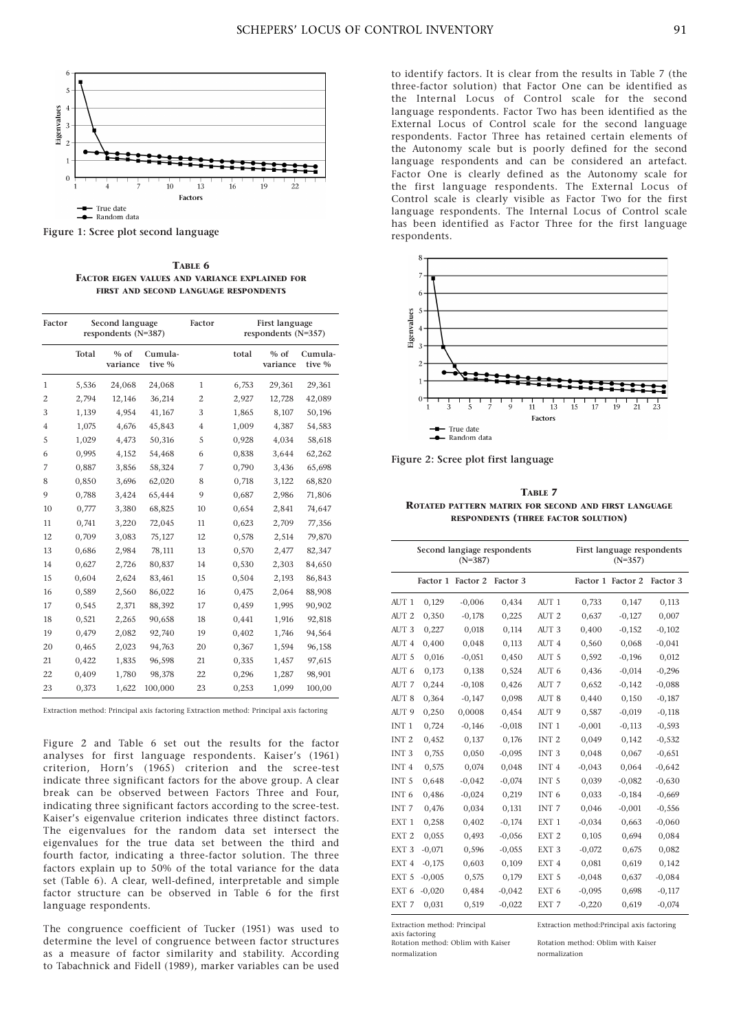

Figure 1: Scree plot second language

TABLE 6 FACTOR EIGEN VALUES AND VARIANCE EXPLAINED FOR FIRST AND SECOND LANGUAGE RESPONDENTS

| Factor         | Second language<br>respondents (N=387) |                    |                   | Factor         |       | <b>First language</b><br>respondents (N=357) |                   |
|----------------|----------------------------------------|--------------------|-------------------|----------------|-------|----------------------------------------------|-------------------|
|                | Total                                  | $%$ of<br>variance | Cumula-<br>tive % |                | total | $%$ of<br>variance                           | Cumula-<br>tive % |
| $\mathbf{1}$   | 5,536                                  | 24,068             | 24,068            | $\mathbf{1}$   | 6,753 | 29,361                                       | 29,361            |
| $\mathfrak{2}$ | 2,794                                  | 12,146             | 36,214            | $\mathbf{2}$   | 2,927 | 12,728                                       | 42,089            |
| 3              | 1,139                                  | 4,954              | 41,167            | 3              | 1,865 | 8,107                                        | 50,196            |
| $\overline{4}$ | 1,075                                  | 4,676              | 45,843            | $\overline{4}$ | 1,009 | 4,387                                        | 54,583            |
| 5              | 1,029                                  | 4,473              | 50,316            | 5              | 0,928 | 4,034                                        | 58,618            |
| 6              | 0,995                                  | 4,152              | 54,468            | 6              | 0,838 | 3,644                                        | 62,262            |
| 7              | 0,887                                  | 3,856              | 58,324            | 7              | 0,790 | 3,436                                        | 65,698            |
| 8              | 0,850                                  | 3,696              | 62,020            | 8              | 0,718 | 3,122                                        | 68,820            |
| 9              | 0,788                                  | 3,424              | 65,444            | 9              | 0,687 | 2,986                                        | 71,806            |
| 10             | 0,777                                  | 3,380              | 68,825            | 10             | 0,654 | 2,841                                        | 74,647            |
| 11             | 0,741                                  | 3,220              | 72,045            | 11             | 0,623 | 2,709                                        | 77,356            |
| 12             | 0,709                                  | 3,083              | 75,127            | 12             | 0,578 | 2,514                                        | 79,870            |
| 13             | 0,686                                  | 2,984              | 78,111            | 13             | 0,570 | 2,477                                        | 82,347            |
| 14             | 0,627                                  | 2,726              | 80,837            | 14             | 0,530 | 2,303                                        | 84,650            |
| 15             | 0,604                                  | 2,624              | 83,461            | 15             | 0,504 | 2,193                                        | 86,843            |
| 16             | 0,589                                  | 2,560              | 86,022            | 16             | 0,475 | 2,064                                        | 88,908            |
| 17             | 0,545                                  | 2,371              | 88,392            | 17             | 0,459 | 1,995                                        | 90,902            |
| 18             | 0,521                                  | 2,265              | 90,658            | 18             | 0,441 | 1,916                                        | 92,818            |
| 19             | 0,479                                  | 2,082              | 92,740            | 19             | 0,402 | 1,746                                        | 94,564            |
| 20             | 0,465                                  | 2,023              | 94,763            | 20             | 0,367 | 1,594                                        | 96,158            |
| 21             | 0,422                                  | 1,835              | 96,598            | 21             | 0,335 | 1,457                                        | 97,615            |
| 22             | 0,409                                  | 1,780              | 98,378            | 22             | 0,296 | 1,287                                        | 98,901            |
| 23             | 0,373                                  | 1,622              | 100,000           | 23             | 0,253 | 1,099                                        | 100,00            |

Extraction method: Principal axis factoring Extraction method: Principal axis factoring

Figure 2 and Table 6 set out the results for the factor analyses for first language respondents. Kaiser's (1961) criterion, Horn's (1965) criterion and the scree-test indicate three significant factors for the above group. A clear break can be observed between Factors Three and Four, indicating three significant factors according to the scree-test. Kaiser's eigenvalue criterion indicates three distinct factors. The eigenvalues for the random data set intersect the eigenvalues for the true data set between the third and fourth factor, indicating a three-factor solution. The three factors explain up to 50% of the total variance for the data set (Table 6). A clear, well-defined, interpretable and simple factor structure can be observed in Table 6 for the first language respondents.

The congruence coefficient of Tucker (1951) was used to determine the level of congruence between factor structures as a measure of factor similarity and stability. According to Tabachnick and Fidell (1989), marker variables can be used

to identify factors. It is clear from the results in Table 7 (the three-factor solution) that Factor One can be identified as the Internal Locus of Control scale for the second language respondents. Factor Two has been identified as the External Locus of Control scale for the second language respondents. Factor Three has retained certain elements of the Autonomy scale but is poorly defined for the second language respondents and can be considered an artefact. Factor One is clearly defined as the Autonomy scale for the first language respondents. The External Locus of Control scale is clearly visible as Factor Two for the first language respondents. The Internal Locus of Control scale has been identified as Factor Three for the first language respondents.



Figure 2: Scree plot first language

TABLE 7 ROTATED PATTERN MATRIX FOR SECOND AND FIRST LANGUAGE RESPONDENTS (THREE FACTOR SOLUTION)

|                  |          | $(N=387)$         | Second langiage respondents |                  | First language respondents<br>$(N=357)$ |                   |          |
|------------------|----------|-------------------|-----------------------------|------------------|-----------------------------------------|-------------------|----------|
|                  |          | Factor 1 Factor 2 | Factor 3                    |                  |                                         | Factor 1 Factor 2 | Factor 3 |
| AUT <sub>1</sub> | 0,129    | $-0,006$          | 0,434                       | AUT <sub>1</sub> | 0,733                                   | 0.147             | 0,113    |
| AUT <sub>2</sub> | 0,350    | $-0,178$          | 0,225                       | AUT <sub>2</sub> | 0,637                                   | $-0,127$          | 0,007    |
| AUT <sub>3</sub> | 0,227    | 0.018             | 0.114                       | AUT <sub>3</sub> | 0,400                                   | $-0,152$          | $-0,102$ |
| AUT 4            | 0,400    | 0,048             | 0,113                       | AUT 4            | 0,560                                   | 0,068             | $-0.041$ |
| AUT <sub>5</sub> | 0,016    | $-0.051$          | 0,450                       | AUT <sub>5</sub> | 0,592                                   | $-0,196$          | 0,012    |
| AUT 6            | 0,173    | 0,138             | 0,524                       | AUT 6            | 0,436                                   | $-0.014$          | $-0,296$ |
| AUT 7            | 0,244    | $-0,108$          | 0,426                       | AUT 7            | 0,652                                   | $-0,142$          | $-0.088$ |
| AUT <sub>8</sub> | 0,364    | $-0,147$          | 0,098                       | AUT 8            | 0,440                                   | 0,150             | $-0.187$ |
| AUT <sub>9</sub> | 0,250    | 0,0008            | 0,454                       | AUT <sub>9</sub> | 0,587                                   | $-0.019$          | $-0,118$ |
| INT <sub>1</sub> | 0,724    | $-0,146$          | $-0.018$                    | INT <sub>1</sub> | $-0,001$                                | $-0,113$          | $-0.593$ |
| INT <sub>2</sub> | 0,452    | 0,137             | 0,176                       | INT <sub>2</sub> | 0,049                                   | 0,142             | $-0.532$ |
| INT <sub>3</sub> | 0,755    | 0.050             | $-0.095$                    | INT <sub>3</sub> | 0.048                                   | 0.067             | $-0,651$ |
| INT <sub>4</sub> | 0,575    | 0,074             | 0,048                       | INT <sub>4</sub> | $-0.043$                                | 0,064             | $-0.642$ |
| INT <sub>5</sub> | 0,648    | $-0.042$          | $-0.074$                    | INT <sub>5</sub> | 0,039                                   | $-0.082$          | $-0,630$ |
| INT <sub>6</sub> | 0,486    | $-0,024$          | 0,219                       | INT <sub>6</sub> | 0,033                                   | $-0,184$          | $-0,669$ |
| INT <sub>7</sub> | 0.476    | 0.034             | 0,131                       | INT <sub>7</sub> | 0.046                                   | $-0,001$          | $-0.556$ |
| EXT <sub>1</sub> | 0,258    | 0,402             | $-0,174$                    | EXT <sub>1</sub> | $-0.034$                                | 0,663             | $-0.060$ |
| EXT <sub>2</sub> | 0,055    | 0,493             | $-0,056$                    | EXT <sub>2</sub> | 0,105                                   | 0,694             | 0,084    |
| EXT <sub>3</sub> | $-0.071$ | 0,596             | $-0,055$                    | EXT <sub>3</sub> | $-0,072$                                | 0,675             | 0,082    |
| EXT <sub>4</sub> | $-0,175$ | 0,603             | 0,109                       | EXT <sub>4</sub> | 0,081                                   | 0,619             | 0,142    |
| EXT <sub>5</sub> | $-0,005$ | 0,575             | 0,179                       | EXT <sub>5</sub> | $-0.048$                                | 0,637             | $-0.084$ |
| EXT <sub>6</sub> | $-0,020$ | 0,484             | $-0.042$                    | EXT <sub>6</sub> | $-0.095$                                | 0,698             | $-0,117$ |
| EXT 7            | 0,031    | 0,519             | $-0,022$                    | EXT 7            | $-0,220$                                | 0,619             | $-0.074$ |

extraction *means in*<br>axis factoring<br>Rotation method: Oblim with Kaiser

normalization normalization

Extraction method: Principal Extraction method:Principal axis factoring

Rotation method: Oblim with Kaiser Rotation method: Oblim with Kaiser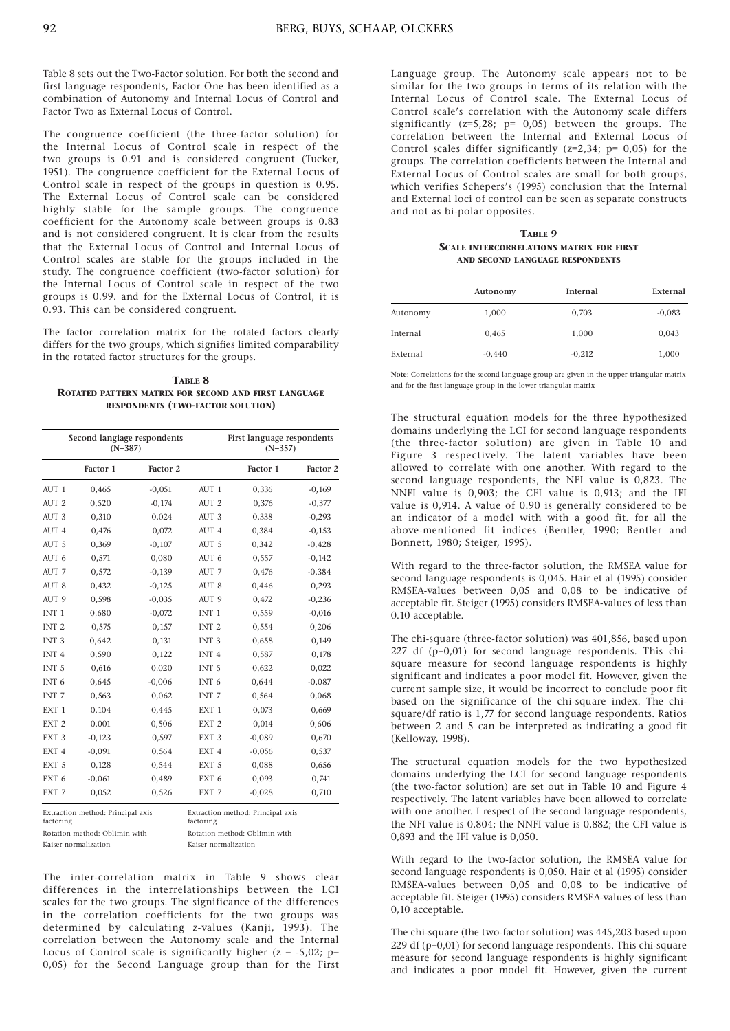Table 8 sets out the Two-Factor solution. For both the second and first language respondents, Factor One has been identified as a combination of Autonomy and Internal Locus of Control and Factor Two as External Locus of Control.

The congruence coefficient (the three-factor solution) for the Internal Locus of Control scale in respect of the two groups is 0.91 and is considered congruent (Tucker, 1951). The congruence coefficient for the External Locus of Control scale in respect of the groups in question is 0.95. The External Locus of Control scale can be considered highly stable for the sample groups. The congruence coefficient for the Autonomy scale between groups is 0.83 and is not considered congruent. It is clear from the results that the External Locus of Control and Internal Locus of Control scales are stable for the groups included in the study. The congruence coefficient (two-factor solution) for the Internal Locus of Control scale in respect of the two groups is 0.99. and for the External Locus of Control, it is 0.93. This can be considered congruent.

The factor correlation matrix for the rotated factors clearly differs for the two groups, which signifies limited comparability in the rotated factor structures for the groups.

TABLE 8 ROTATED PATTERN MATRIX FOR SECOND AND FIRST LANGUAGE RESPONDENTS (TWO-FACTOR SOLUTION)

|                                                | Second langiage respondents<br>$(N=387)$ |          |                  | First language respondents<br>$(N=357)$ |          |
|------------------------------------------------|------------------------------------------|----------|------------------|-----------------------------------------|----------|
|                                                | Factor 1                                 | Factor 2 |                  | Factor 1                                | Factor 2 |
| $A$ UT 1                                       | 0,465                                    | $-0.051$ | AUT <sub>1</sub> | 0,336                                   | $-0,169$ |
| AUT <sub>2</sub>                               | 0,520                                    | $-0,174$ | AUT <sub>2</sub> | 0,376                                   | $-0,377$ |
| AUT <sub>3</sub>                               | 0,310                                    | 0,024    | AUT <sub>3</sub> | 0,338                                   | $-0.293$ |
| AUT <sub>4</sub>                               | 0,476                                    | 0,072    | AUT <sub>4</sub> | 0,384                                   | $-0,153$ |
| AUT <sub>5</sub>                               | 0,369                                    | $-0,107$ | AUT <sub>5</sub> | 0,342                                   | $-0.428$ |
| AUT 6                                          | 0,571                                    | 0,080    | AUT 6            | 0,557                                   | $-0,142$ |
| AUT 7                                          | 0,572                                    | $-0,139$ | AUT 7            | 0,476                                   | $-0,384$ |
| AUT <sub>8</sub>                               | 0.432                                    | $-0,125$ | AUT <sub>8</sub> | 0.446                                   | 0,293    |
| AUT <sub>9</sub>                               | 0,598                                    | $-0.035$ | AUT <sub>9</sub> | 0,472                                   | $-0,236$ |
| INT <sub>1</sub>                               | 0,680                                    | $-0.072$ | INT <sub>1</sub> | 0,559                                   | $-0,016$ |
| INT <sub>2</sub>                               | 0,575                                    | 0,157    | INT <sub>2</sub> | 0,554                                   | 0,206    |
| INT <sub>3</sub>                               | 0,642                                    | 0,131    | INT <sub>3</sub> | 0,658                                   | 0,149    |
| INT <sub>4</sub>                               | 0,590                                    | 0,122    | INT <sub>4</sub> | 0,587                                   | 0,178    |
| INT <sub>5</sub>                               | 0,616                                    | 0,020    | INT <sub>5</sub> | 0,622                                   | 0,022    |
| INT <sub>6</sub>                               | 0,645                                    | $-0,006$ | INT <sub>6</sub> | 0,644                                   | $-0.087$ |
| INT <sub>7</sub>                               | 0,563                                    | 0,062    | INT <sub>7</sub> | 0,564                                   | 0,068    |
| EXT <sub>1</sub>                               | 0,104                                    | 0,445    | EXT <sub>1</sub> | 0,073                                   | 0,669    |
| EXT <sub>2</sub>                               | 0.001                                    | 0.506    | EXT <sub>2</sub> | 0.014                                   | 0,606    |
| EXT <sub>3</sub>                               | $-0,123$                                 | 0,597    | EXT <sub>3</sub> | $-0.089$                                | 0,670    |
| EXT <sub>4</sub>                               | $-0.091$                                 | 0,564    | EXT <sub>4</sub> | $-0.056$                                | 0,537    |
| EXT <sub>5</sub>                               | 0,128                                    | 0,544    | EXT <sub>5</sub> | 0,088                                   | 0,656    |
| EXT <sub>6</sub>                               | $-0.061$                                 | 0,489    | EXT <sub>6</sub> | 0,093                                   | 0,741    |
| EXT 7                                          | 0,052                                    | 0,526    | EXT <sub>7</sub> | $-0.028$                                | 0,710    |
| Extraction method: Principal axis<br>factoring |                                          |          | factoring        | Extraction method: Principal axis       |          |

| factoring                     | factoring                     |
|-------------------------------|-------------------------------|
| Rotation method: Oblimin with | Rotation method: Oblimin with |
| Kaiser normalization          | Kaiser normalization          |

The inter-correlation matrix in Table 9 shows clear differences in the interrelationships between the LCI scales for the two groups. The significance of the differences in the correlation coefficients for the two groups was determined by calculating z-values (Kanji, 1993). The correlation between the Autonomy scale and the Internal Locus of Control scale is significantly higher  $(z = -5.02; p=$ 0,05) for the Second Language group than for the First Language group. The Autonomy scale appears not to be similar for the two groups in terms of its relation with the Internal Locus of Control scale. The External Locus of Control scale's correlation with the Autonomy scale differs significantly (z=5,28; p= 0,05) between the groups. The correlation between the Internal and External Locus of Control scales differ significantly (z=2,34; p= 0,05) for the groups. The correlation coefficients between the Internal and External Locus of Control scales are small for both groups, which verifies Schepers's (1995) conclusion that the Internal and External loci of control can be seen as separate constructs and not as bi-polar opposites.

#### TABLE 9 SCALE INTERCORRELATIONS MATRIX FOR FIRST AND SECOND LANGUAGE RESPONDENTS

|          | Autonomy | Internal | External |
|----------|----------|----------|----------|
| Autonomy | 1,000    | 0,703    | $-0.083$ |
| Internal | 0,465    | 1,000    | 0,043    |
| External | $-0.440$ | $-0,212$ | 1,000    |

Note: Correlations for the second language group are given in the upper triangular matrix and for the first language group in the lower triangular matrix

The structural equation models for the three hypothesized domains underlying the LCI for second language respondents (the three-factor solution) are given in Table 10 and Figure 3 respectively. The latent variables have been allowed to correlate with one another. With regard to the second language respondents, the NFI value is 0,823. The NNFI value is 0,903; the CFI value is 0,913; and the IFI value is 0,914. A value of 0.90 is generally considered to be an indicator of a model with with a good fit. for all the above-mentioned fit indices (Bentler, 1990; Bentler and Bonnett, 1980; Steiger, 1995).

With regard to the three-factor solution, the RMSEA value for second language respondents is 0,045. Hair et al (1995) consider RMSEA-values between 0,05 and 0,08 to be indicative of acceptable fit. Steiger (1995) considers RMSEA-values of less than 0.10 acceptable.

The chi-square (three-factor solution) was 401,856, based upon 227 df (p=0,01) for second language respondents. This chisquare measure for second language respondents is highly significant and indicates a poor model fit. However, given the current sample size, it would be incorrect to conclude poor fit based on the significance of the chi-square index. The chisquare/df ratio is 1,77 for second language respondents. Ratios between 2 and 5 can be interpreted as indicating a good fit (Kelloway, 1998).

The structural equation models for the two hypothesized domains underlying the LCI for second language respondents (the two-factor solution) are set out in Table 10 and Figure 4 respectively. The latent variables have been allowed to correlate with one another. I respect of the second language respondents, the NFI value is 0,804; the NNFI value is 0,882; the CFI value is 0,893 and the IFI value is 0,050.

With regard to the two-factor solution, the RMSEA value for second language respondents is 0,050. Hair et al (1995) consider RMSEA-values between 0,05 and 0,08 to be indicative of acceptable fit. Steiger (1995) considers RMSEA-values of less than 0,10 acceptable.

The chi-square (the two-factor solution) was 445,203 based upon 229 df (p=0,01) for second language respondents. This chi-square measure for second language respondents is highly significant and indicates a poor model fit. However, given the current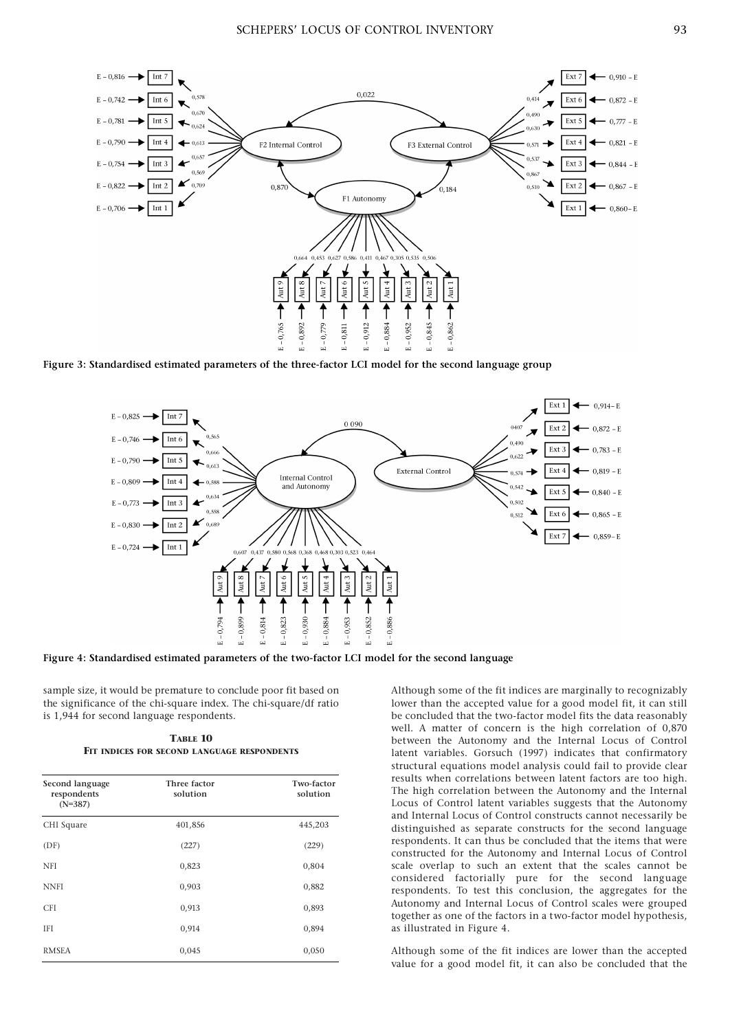

Figure 3: Standardised estimated parameters of the three-factor LCI model for the second language group



Figure 4: Standardised estimated parameters of the two-factor LCI model for the second language

sample size, it would be premature to conclude poor fit based on the significance of the chi-square index. The chi-square/df ratio is 1,944 for second language respondents.

TABLE 10 FIT INDICES FOR SECOND LANGUAGE RESPONDENTS

| Second language<br>respondents<br>$(N=387)$ | Three factor<br>solution | Two-factor<br>solution |
|---------------------------------------------|--------------------------|------------------------|
| CHI Square                                  | 401,856                  | 445,203                |
| (DF)                                        | (227)                    | (229)                  |
| NFI                                         | 0,823                    | 0,804                  |
| <b>NNFI</b>                                 | 0,903                    | 0,882                  |
| <b>CFI</b>                                  | 0,913                    | 0,893                  |
| <b>IFI</b>                                  | 0,914                    | 0,894                  |
| <b>RMSEA</b>                                | 0,045                    | 0,050                  |

Although some of the fit indices are marginally to recognizably lower than the accepted value for a good model fit, it can still be concluded that the two-factor model fits the data reasonably well. A matter of concern is the high correlation of 0,870 between the Autonomy and the Internal Locus of Control latent variables. Gorsuch (1997) indicates that confirmatory structural equations model analysis could fail to provide clear results when correlations between latent factors are too high. The high correlation between the Autonomy and the Internal Locus of Control latent variables suggests that the Autonomy and Internal Locus of Control constructs cannot necessarily be distinguished as separate constructs for the second language respondents. It can thus be concluded that the items that were constructed for the Autonomy and Internal Locus of Control scale overlap to such an extent that the scales cannot be considered factorially pure for the second language respondents. To test this conclusion, the aggregates for the Autonomy and Internal Locus of Control scales were grouped together as one of the factors in a two-factor model hypothesis, as illustrated in Figure 4.

Although some of the fit indices are lower than the accepted value for a good model fit, it can also be concluded that the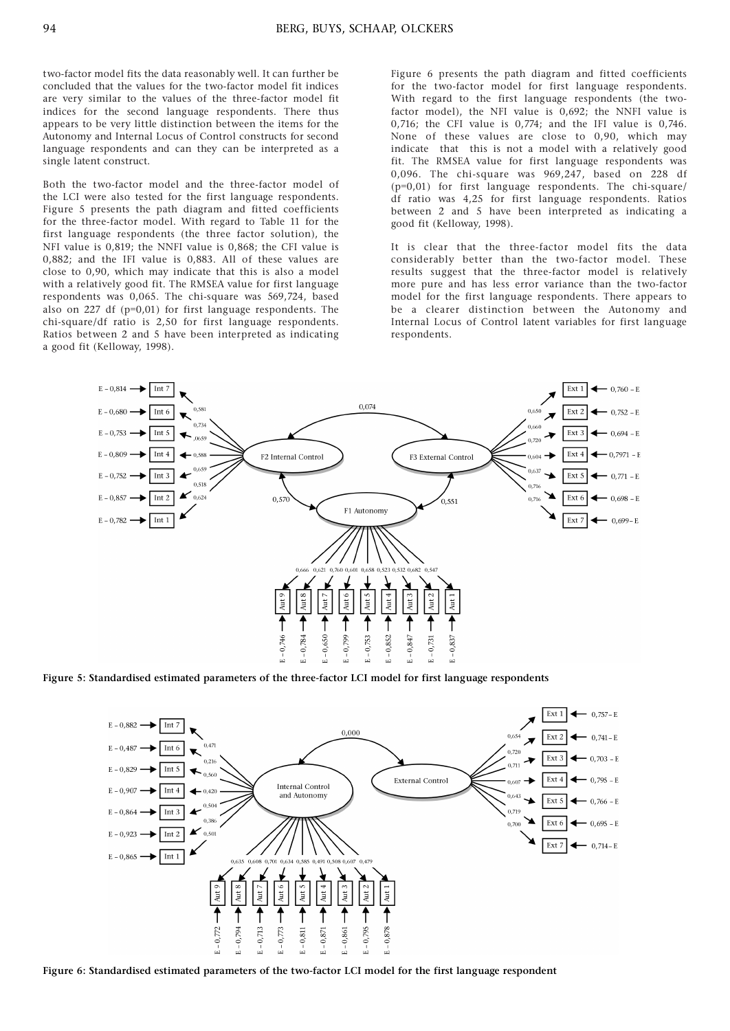two-factor model fits the data reasonably well. It can further be concluded that the values for the two-factor model fit indices are very similar to the values of the three-factor model fit indices for the second language respondents. There thus appears to be very little distinction between the items for the Autonomy and Internal Locus of Control constructs for second language respondents and can they can be interpreted as a single latent construct.

Both the two-factor model and the three-factor model of the LCI were also tested for the first language respondents. Figure 5 presents the path diagram and fitted coefficients for the three-factor model. With regard to Table 11 for the first language respondents (the three factor solution), the NFI value is 0,819; the NNFI value is 0,868; the CFI value is 0,882; and the IFI value is 0,883. All of these values are close to 0,90, which may indicate that this is also a model with a relatively good fit. The RMSEA value for first language respondents was 0,065. The chi-square was 569,724, based also on 227 df  $(p=0.01)$  for first language respondents. The chi-square/df ratio is 2,50 for first language respondents. Ratios between 2 and 5 have been interpreted as indicating a good fit (Kelloway, 1998).

Figure 6 presents the path diagram and fitted coefficients for the two-factor model for first language respondents. With regard to the first language respondents (the twofactor model), the NFI value is 0,692; the NNFI value is 0,716; the CFI value is 0,774; and the IFI value is 0,746. None of these values are close to 0,90, which may indicate that this is not a model with a relatively good fit. The RMSEA value for first language respondents was 0,096. The chi-square was 969,247, based on 228 df (p=0,01) for first language respondents. The chi-square/ df ratio was 4,25 for first language respondents. Ratios between 2 and 5 have been interpreted as indicating a good fit (Kelloway, 1998).

It is clear that the three-factor model fits the data considerably better than the two-factor model. These results suggest that the three-factor model is relatively more pure and has less error variance than the two-factor model for the first language respondents. There appears to be a clearer distinction between the Autonomy and Internal Locus of Control latent variables for first language respondents.



Figure 5: Standardised estimated parameters of the three-factor LCI model for first language respondents



Figure 6: Standardised estimated parameters of the two-factor LCI model for the first language respondent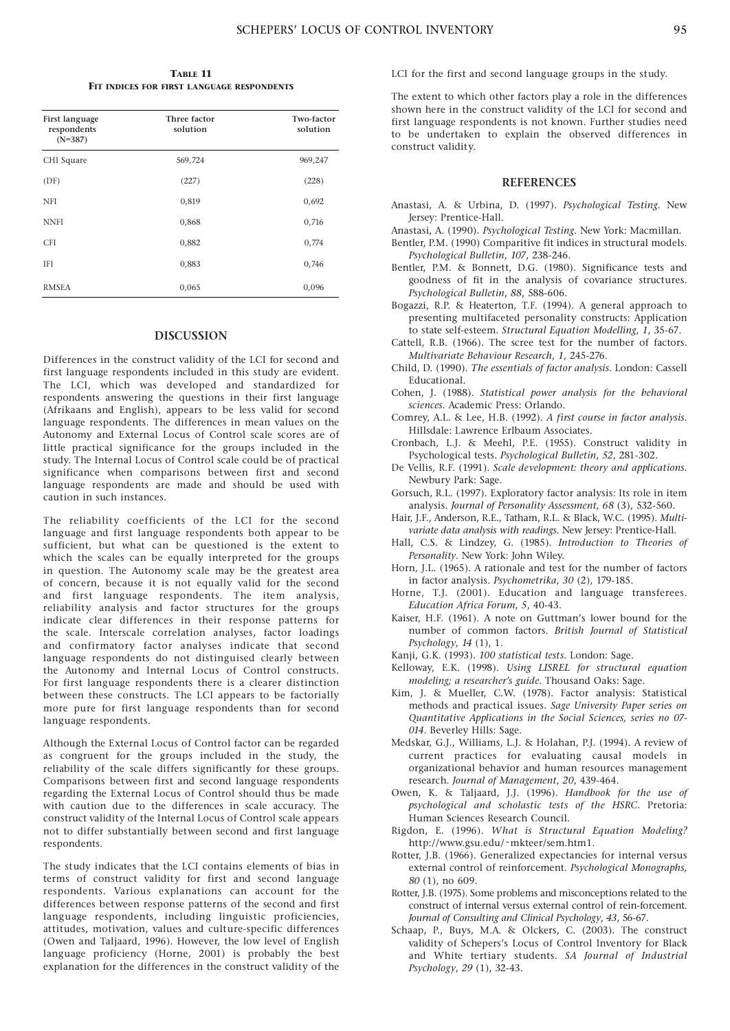TABLE 11 FIT INDICES FOR FIRST LANGUAGE RESPONDENTS

| First language<br>respondents<br>$(N=387)$ | Three factor<br>solution | Two-factor<br>solution |
|--------------------------------------------|--------------------------|------------------------|
| CHI Square                                 | 569,724                  | 969,247                |
| (DF)                                       | (227)                    | (228)                  |
| <b>NFI</b>                                 | 0,819                    | 0,692                  |
| <b>NNFI</b>                                | 0,868                    | 0,716                  |
| <b>CFI</b>                                 | 0,882                    | 0,774                  |
| <b>IFI</b>                                 | 0,883                    | 0,746                  |
| <b>RMSEA</b>                               | 0,065                    | 0,096                  |

#### DISCUSSION

Differences in the construct validity of the LCI for second and first language respondents included in this study are evident. The LCI, which was developed and standardized for respondents answering the questions in their first language (Afrikaans and English), appears to be less valid for second language respondents. The differences in mean values on the Autonomy and External Locus of Control scale scores are of little practical significance for the groups included in the study. The Internal Locus of Control scale could be of practical significance when comparisons between first and second language respondents are made and should be used with caution in such instances.

The reliability coefficients of the LCI for the second language and first language respondents both appear to be sufficient, but what can be questioned is the extent to which the scales can be equally interpreted for the groups in question. The Autonomy scale may be the greatest area of concern, because it is not equally valid for the second and first language respondents. The item analysis, reliability analysis and factor structures for the groups indicate clear differences in their response patterns for the scale. Interscale correlation analyses, factor loadings and confirmatory factor analyses indicate that second language respondents do not distinguised clearly between the Autonomy and Internal Locus of Control constructs. For first language respondents there is a clearer distinction between these constructs. The LCI appears to be factorially more pure for first language respondents than for second language respondents.

Although the External Locus of Control factor can be regarded as congruent for the groups included in the study, the reliability of the scale differs significantly for these groups. Comparisons between first and second language respondents regarding the External Locus of Control should thus be made with caution due to the differences in scale accuracy. The construct validity of the Internal Locus of Control scale appears not to differ substantially between second and first language respondents.

The study indicates that the LCI contains elements of bias in terms of construct validity for first and second language respondents. Various explanations can account for the differences between response patterns of the second and first language respondents, including linguistic proficiencies, attitudes, motivation, values and culture-specific differences (Owen and Taljaard, 1996). However, the low level of English language proficiency (Horne, 2001) is probably the best explanation for the differences in the construct validity of the

LCI for the first and second language groups in the study.

The extent to which other factors play a role in the differences shown here in the construct validity of the LCI for second and first language respondents is not known. Further studies need to be undertaken to explain the observed differences in construct validity.

# **REFERENCES**

- Anastasi, A. & Urbina, D. (1997). Psychological Testing. New Jersey: Prentice-Hall.
- Anastasi, A. (1990). Psychological Testing. New York: Macmillan.
- Bentler, P.M. (1990) Comparitive fit indices in structural models. Psychological Bulletin, 107, 238-246.
- Bentler, P.M. & Bonnett, D.G. (1980). Significance tests and goodness of fit in the analysis of covariance structures. Psychological Bulletin, 88, 588-606.
- Bogazzi, R.P. & Heaterton, T.F. (1994). A general approach to presenting multifaceted personality constructs: Application to state self-esteem. Structural Equation Modelling, 1, 35-67.
- Cattell, R.B. (1966). The scree test for the number of factors. Multivariate Behaviour Research, 1, 245-276.
- Child, D. (1990). The essentials of factor analysis. London: Cassell Educational.
- Cohen, J. (1988). Statistical power analysis for the behavioral sciences. Academic Press: Orlando.
- Comrey, A.L. & Lee, H.B. (1992). A first course in factor analysis. Hillsdale: Lawrence Erlbaum Associates.
- Cronbach, L.J. & Meehl, P.E. (1955). Construct validity in Psychological tests. Psychological Bulletin, 52, 281-302.
- De Vellis, R.F. (1991). Scale development: theory and applications. Newbury Park: Sage.
- Gorsuch, R.L. (1997). Exploratory factor analysis: Its role in item analysis. Journal of Personality Assessment, 68 (3), 532-560.
- Hair, J.F., Anderson, R.E., Tatham, R.L. & Black, W.C. (1995). Multivariate data analysis with readings. New Jersey: Prentice-Hall.
- Hall, C.S. & Lindzey, G. (1985). Introduction to Theories of Personality. New York: John Wiley.
- Horn, J.L. (1965). A rationale and test for the number of factors in factor analysis. Psychometrika, 30 (2), 179-185.
- Horne, T.J. (2001). Education and language transferees. Education Africa Forum, 5, 40-43.
- Kaiser, H.F. (1961). A note on Guttman's lower bound for the number of common factors. British Journal of Statistical Psychology, 14 (1), 1.
- Kanji, G.K. (1993). 100 statistical tests. London: Sage.
- Kelloway, E.K. (1998). Using LISREL for structural equation modeling; a researcher's guide. Thousand Oaks: Sage.
- Kim, J. & Mueller, C.W. (1978). Factor analysis: Statistical methods and practical issues. Sage University Paper series on Quantitative Applications in the Social Sciences, series no 07- 014. Beverley Hills: Sage.
- Medskar, G.J., Williams, L.J. & Holahan, P.J. (1994). A review of current practices for evaluating causal models in organizational behavior and human resources management research. Journal of Management, 20, 439-464.
- Owen, K. & Taljaard, J.J. (1996). Handbook for the use of psychological and scholastic tests of the HSRC. Pretoria: Human Sciences Research Council.
- Rigdon, E. (1996). What is Structural Equation Modeling? http://www.gsu.edu/~mkteer/sem.htm1.
- Rotter, J.B. (1966). Generalized expectancies for internal versus external control of reinforcement. Psychological Monographs, 80 (1), no 609.
- Rotter, J.B. (1975). Some problems and misconceptions related to the construct of internal versus external control of rein-forcement. Journal of Consulting and Clinical Psychology, 43, 56-67.
- Schaap, P., Buys, M.A. & Olckers, C. (2003). The construct validity of Schepers's Locus of Control Inventory for Black and White tertiary students. SA Journal of Industrial Psychology, 29 (1), 32-43.